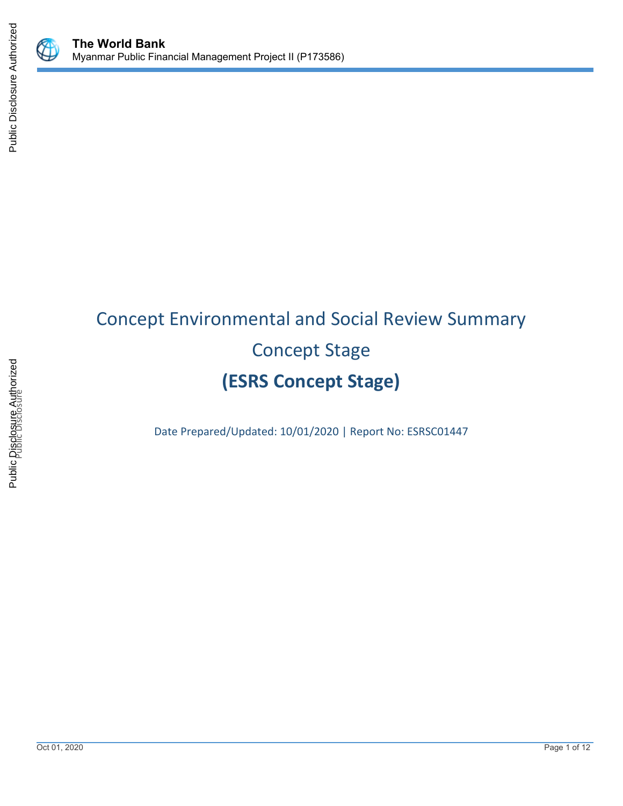





 $\mathbb Q$ 

# Concept Environmental and Social Review Summary Concept Stage **(ESRS Concept Stage)**

Date Prepared/Updated: 10/01/2020 | Report No: ESRSC01447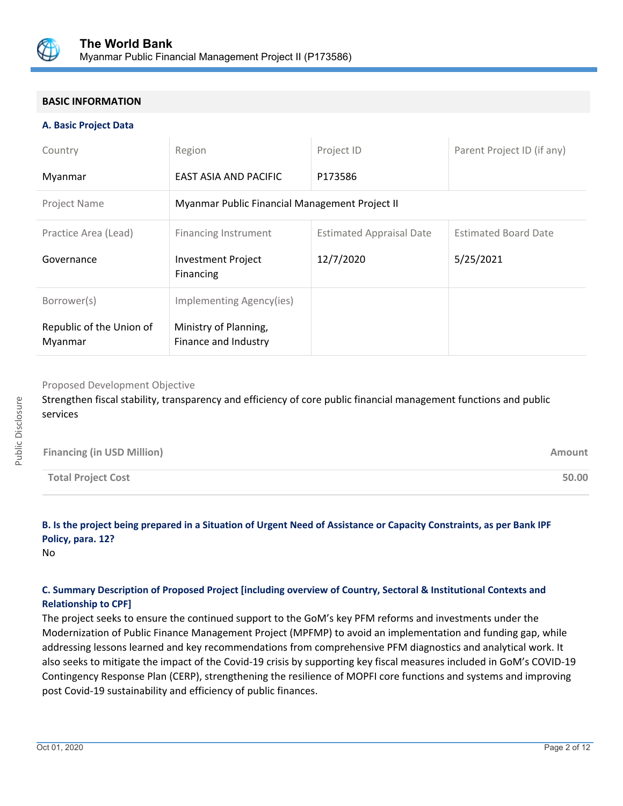

# **BASIC INFORMATION**

#### **A. Basic Project Data**

| Country                             | Region                                         | Project ID                      | Parent Project ID (if any)  |
|-------------------------------------|------------------------------------------------|---------------------------------|-----------------------------|
| Myanmar                             | EAST ASIA AND PACIFIC                          | P173586                         |                             |
| <b>Project Name</b>                 | Myanmar Public Financial Management Project II |                                 |                             |
| Practice Area (Lead)                | <b>Financing Instrument</b>                    | <b>Estimated Appraisal Date</b> | <b>Estimated Board Date</b> |
| Governance                          | <b>Investment Project</b><br>Financing         | 12/7/2020                       | 5/25/2021                   |
| Borrower(s)                         | Implementing Agency(ies)                       |                                 |                             |
| Republic of the Union of<br>Myanmar | Ministry of Planning,<br>Finance and Industry  |                                 |                             |

Proposed Development Objective

Strengthen fiscal stability, transparency and efficiency of core public financial management functions and public services

| <b>Financing (in USD Million)</b> | Amount |
|-----------------------------------|--------|
| <b>Total Project Cost</b>         | 50.00  |

# **B. Is the project being prepared in a Situation of Urgent Need of Assistance or Capacity Constraints, as per Bank IPF Policy, para. 12?**

No

# **C. Summary Description of Proposed Project [including overview of Country, Sectoral & Institutional Contexts and Relationship to CPF]**

The project seeks to ensure the continued support to the GoM's key PFM reforms and investments under the Modernization of Public Finance Management Project (MPFMP) to avoid an implementation and funding gap, while addressing lessons learned and key recommendations from comprehensive PFM diagnostics and analytical work. It also seeks to mitigate the impact of the Covid-19 crisis by supporting key fiscal measures included in GoM's COVID-19 Contingency Response Plan (CERP), strengthening the resilience of MOPFI core functions and systems and improving post Covid-19 sustainability and efficiency of public finances.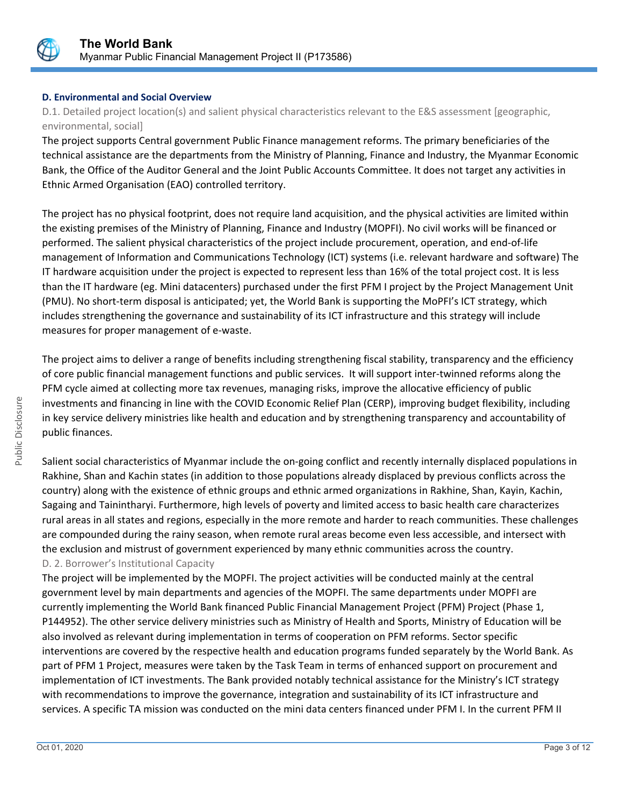

# **D. Environmental and Social Overview**

D.1. Detailed project location(s) and salient physical characteristics relevant to the E&S assessment [geographic, environmental, social]

The project supports Central government Public Finance management reforms. The primary beneficiaries of the technical assistance are the departments from the Ministry of Planning, Finance and Industry, the Myanmar Economic Bank, the Office of the Auditor General and the Joint Public Accounts Committee. It does not target any activities in Ethnic Armed Organisation (EAO) controlled territory.

The project has no physical footprint, does not require land acquisition, and the physical activities are limited within the existing premises of the Ministry of Planning, Finance and Industry (MOPFI). No civil works will be financed or performed. The salient physical characteristics of the project include procurement, operation, and end-of-life management of Information and Communications Technology (ICT) systems (i.e. relevant hardware and software) The IT hardware acquisition under the project is expected to represent less than 16% of the total project cost. It is less than the IT hardware (eg. Mini datacenters) purchased under the first PFM I project by the Project Management Unit (PMU). No short-term disposal is anticipated; yet, the World Bank is supporting the MoPFI's ICT strategy, which includes strengthening the governance and sustainability of its ICT infrastructure and this strategy will include measures for proper management of e-waste.

The project aims to deliver a range of benefits including strengthening fiscal stability, transparency and the efficiency of core public financial management functions and public services. It will support inter-twinned reforms along the PFM cycle aimed at collecting more tax revenues, managing risks, improve the allocative efficiency of public investments and financing in line with the COVID Economic Relief Plan (CERP), improving budget flexibility, including in key service delivery ministries like health and education and by strengthening transparency and accountability of public finances.

Salient social characteristics of Myanmar include the on-going conflict and recently internally displaced populations in Rakhine, Shan and Kachin states (in addition to those populations already displaced by previous conflicts across the country) along with the existence of ethnic groups and ethnic armed organizations in Rakhine, Shan, Kayin, Kachin, Sagaing and Tainintharyi. Furthermore, high levels of poverty and limited access to basic health care characterizes rural areas in all states and regions, especially in the more remote and harder to reach communities. These challenges are compounded during the rainy season, when remote rural areas become even less accessible, and intersect with the exclusion and mistrust of government experienced by many ethnic communities across the country. D. 2. Borrower's Institutional Capacity

The project will be implemented by the MOPFI. The project activities will be conducted mainly at the central government level by main departments and agencies of the MOPFI. The same departments under MOPFI are currently implementing the World Bank financed Public Financial Management Project (PFM) Project (Phase 1, P144952). The other service delivery ministries such as Ministry of Health and Sports, Ministry of Education will be also involved as relevant during implementation in terms of cooperation on PFM reforms. Sector specific interventions are covered by the respective health and education programs funded separately by the World Bank. As part of PFM 1 Project, measures were taken by the Task Team in terms of enhanced support on procurement and implementation of ICT investments. The Bank provided notably technical assistance for the Ministry's ICT strategy with recommendations to improve the governance, integration and sustainability of its ICT infrastructure and services. A specific TA mission was conducted on the mini data centers financed under PFM I. In the current PFM II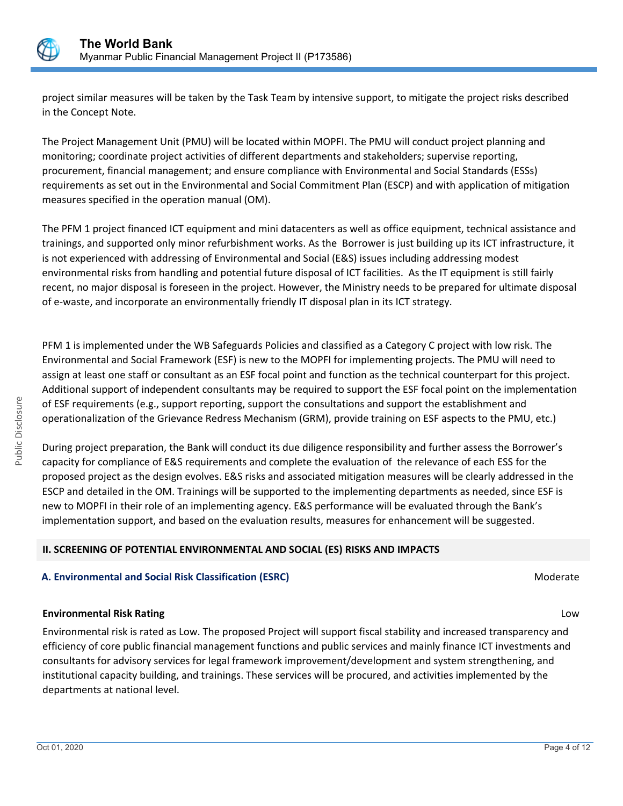

project similar measures will be taken by the Task Team by intensive support, to mitigate the project risks described in the Concept Note.

The Project Management Unit (PMU) will be located within MOPFI. The PMU will conduct project planning and monitoring; coordinate project activities of different departments and stakeholders; supervise reporting, procurement, financial management; and ensure compliance with Environmental and Social Standards (ESSs) requirements as set out in the Environmental and Social Commitment Plan (ESCP) and with application of mitigation measures specified in the operation manual (OM).

The PFM 1 project financed ICT equipment and mini datacenters as well as office equipment, technical assistance and trainings, and supported only minor refurbishment works. As the Borrower is just building up its ICT infrastructure, it is not experienced with addressing of Environmental and Social (E&S) issues including addressing modest environmental risks from handling and potential future disposal of ICT facilities. As the IT equipment is still fairly recent, no major disposal is foreseen in the project. However, the Ministry needs to be prepared for ultimate disposal of e-waste, and incorporate an environmentally friendly IT disposal plan in its ICT strategy.

PFM 1 is implemented under the WB Safeguards Policies and classified as a Category C project with low risk. The Environmental and Social Framework (ESF) is new to the MOPFI for implementing projects. The PMU will need to assign at least one staff or consultant as an ESF focal point and function as the technical counterpart for this project. Additional support of independent consultants may be required to support the ESF focal point on the implementation of ESF requirements (e.g., support reporting, support the consultations and support the establishment and operationalization of the Grievance Redress Mechanism (GRM), provide training on ESF aspects to the PMU, etc.)

During project preparation, the Bank will conduct its due diligence responsibility and further assess the Borrower's capacity for compliance of E&S requirements and complete the evaluation of the relevance of each ESS for the proposed project as the design evolves. E&S risks and associated mitigation measures will be clearly addressed in the ESCP and detailed in the OM. Trainings will be supported to the implementing departments as needed, since ESF is new to MOPFI in their role of an implementing agency. E&S performance will be evaluated through the Bank's implementation support, and based on the evaluation results, measures for enhancement will be suggested.

# **II. SCREENING OF POTENTIAL ENVIRONMENTAL AND SOCIAL (ES) RISKS AND IMPACTS**

# **A. Environmental and Social Risk Classification (ESRC) Moderate Social Analysis of Algebra** Moderate Moderate

## **Environmental Risk Rating** Low

Environmental risk is rated as Low. The proposed Project will support fiscal stability and increased transparency and efficiency of core public financial management functions and public services and mainly finance ICT investments and consultants for advisory services for legal framework improvement/development and system strengthening, and institutional capacity building, and trainings. These services will be procured, and activities implemented by the departments at national level.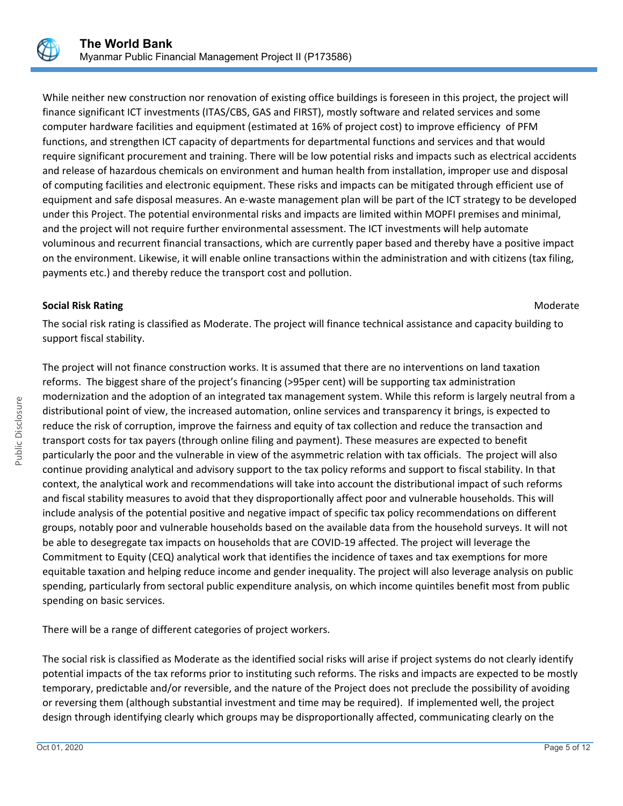

While neither new construction nor renovation of existing office buildings is foreseen in this project, the project will finance significant ICT investments (ITAS/CBS, GAS and FIRST), mostly software and related services and some computer hardware facilities and equipment (estimated at 16% of project cost) to improve efficiency of PFM functions, and strengthen ICT capacity of departments for departmental functions and services and that would require significant procurement and training. There will be low potential risks and impacts such as electrical accidents and release of hazardous chemicals on environment and human health from installation, improper use and disposal of computing facilities and electronic equipment. These risks and impacts can be mitigated through efficient use of equipment and safe disposal measures. An e-waste management plan will be part of the ICT strategy to be developed under this Project. The potential environmental risks and impacts are limited within MOPFI premises and minimal, and the project will not require further environmental assessment. The ICT investments will help automate voluminous and recurrent financial transactions, which are currently paper based and thereby have a positive impact on the environment. Likewise, it will enable online transactions within the administration and with citizens (tax filing, payments etc.) and thereby reduce the transport cost and pollution.

## **Social Risk Rating Moderate Social Risk Rating Moderate**  $M$

The social risk rating is classified as Moderate. The project will finance technical assistance and capacity building to support fiscal stability.

The project will not finance construction works. It is assumed that there are no interventions on land taxation reforms. The biggest share of the project's financing (>95per cent) will be supporting tax administration modernization and the adoption of an integrated tax management system. While this reform is largely neutral from a distributional point of view, the increased automation, online services and transparency it brings, is expected to reduce the risk of corruption, improve the fairness and equity of tax collection and reduce the transaction and transport costs for tax payers (through online filing and payment). These measures are expected to benefit particularly the poor and the vulnerable in view of the asymmetric relation with tax officials. The project will also continue providing analytical and advisory support to the tax policy reforms and support to fiscal stability. In that context, the analytical work and recommendations will take into account the distributional impact of such reforms and fiscal stability measures to avoid that they disproportionally affect poor and vulnerable households. This will include analysis of the potential positive and negative impact of specific tax policy recommendations on different groups, notably poor and vulnerable households based on the available data from the household surveys. It will not be able to desegregate tax impacts on households that are COVID-19 affected. The project will leverage the Commitment to Equity (CEQ) analytical work that identifies the incidence of taxes and tax exemptions for more equitable taxation and helping reduce income and gender inequality. The project will also leverage analysis on public spending, particularly from sectoral public expenditure analysis, on which income quintiles benefit most from public spending on basic services.

There will be a range of different categories of project workers.

The social risk is classified as Moderate as the identified social risks will arise if project systems do not clearly identify potential impacts of the tax reforms prior to instituting such reforms. The risks and impacts are expected to be mostly temporary, predictable and/or reversible, and the nature of the Project does not preclude the possibility of avoiding or reversing them (although substantial investment and time may be required). If implemented well, the project design through identifying clearly which groups may be disproportionally affected, communicating clearly on the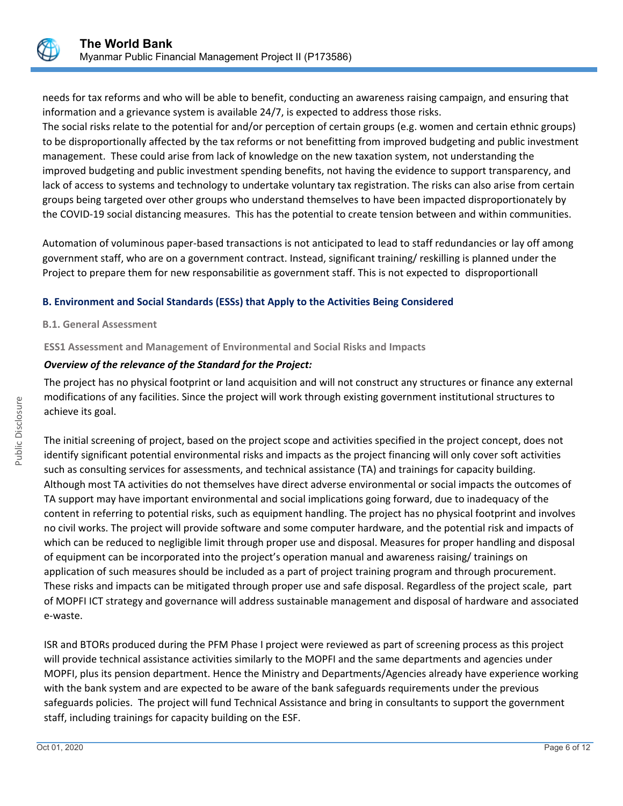

needs for tax reforms and who will be able to benefit, conducting an awareness raising campaign, and ensuring that information and a grievance system is available 24/7, is expected to address those risks.

The social risks relate to the potential for and/or perception of certain groups (e.g. women and certain ethnic groups) to be disproportionally affected by the tax reforms or not benefitting from improved budgeting and public investment management. These could arise from lack of knowledge on the new taxation system, not understanding the improved budgeting and public investment spending benefits, not having the evidence to support transparency, and lack of access to systems and technology to undertake voluntary tax registration. The risks can also arise from certain groups being targeted over other groups who understand themselves to have been impacted disproportionately by the COVID-19 social distancing measures. This has the potential to create tension between and within communities.

Automation of voluminous paper-based transactions is not anticipated to lead to staff redundancies or lay off among government staff, who are on a government contract. Instead, significant training/ reskilling is planned under the Project to prepare them for new responsabilitie as government staff. This is not expected to disproportionall

# **B. Environment and Social Standards (ESSs) that Apply to the Activities Being Considered**

#### **B.1. General Assessment**

## **ESS1 Assessment and Management of Environmental and Social Risks and Impacts**

## *Overview of the relevance of the Standard for the Project:*

The project has no physical footprint or land acquisition and will not construct any structures or finance any external modifications of any facilities. Since the project will work through existing government institutional structures to achieve its goal.

The initial screening of project, based on the project scope and activities specified in the project concept, does not identify significant potential environmental risks and impacts as the project financing will only cover soft activities such as consulting services for assessments, and technical assistance (TA) and trainings for capacity building. Although most TA activities do not themselves have direct adverse environmental or social impacts the outcomes of TA support may have important environmental and social implications going forward, due to inadequacy of the content in referring to potential risks, such as equipment handling. The project has no physical footprint and involves no civil works. The project will provide software and some computer hardware, and the potential risk and impacts of which can be reduced to negligible limit through proper use and disposal. Measures for proper handling and disposal of equipment can be incorporated into the project's operation manual and awareness raising/ trainings on application of such measures should be included as a part of project training program and through procurement. These risks and impacts can be mitigated through proper use and safe disposal. Regardless of the project scale, part of MOPFI ICT strategy and governance will address sustainable management and disposal of hardware and associated e-waste.

ISR and BTORs produced during the PFM Phase I project were reviewed as part of screening process as this project will provide technical assistance activities similarly to the MOPFI and the same departments and agencies under MOPFI, plus its pension department. Hence the Ministry and Departments/Agencies already have experience working with the bank system and are expected to be aware of the bank safeguards requirements under the previous safeguards policies. The project will fund Technical Assistance and bring in consultants to support the government staff, including trainings for capacity building on the ESF.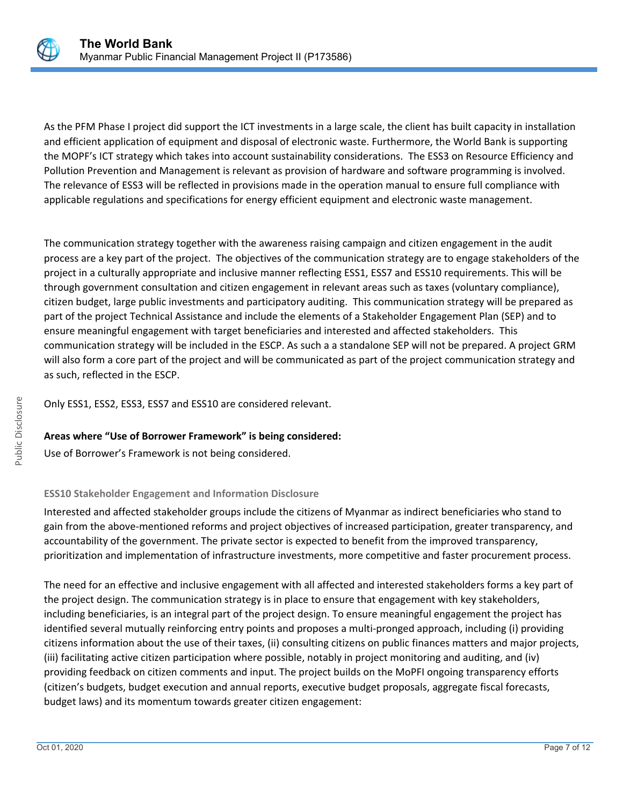

As the PFM Phase I project did support the ICT investments in a large scale, the client has built capacity in installation and efficient application of equipment and disposal of electronic waste. Furthermore, the World Bank is supporting the MOPF's ICT strategy which takes into account sustainability considerations. The ESS3 on Resource Efficiency and Pollution Prevention and Management is relevant as provision of hardware and software programming is involved. The relevance of ESS3 will be reflected in provisions made in the operation manual to ensure full compliance with applicable regulations and specifications for energy efficient equipment and electronic waste management.

The communication strategy together with the awareness raising campaign and citizen engagement in the audit process are a key part of the project. The objectives of the communication strategy are to engage stakeholders of the project in a culturally appropriate and inclusive manner reflecting ESS1, ESS7 and ESS10 requirements. This will be through government consultation and citizen engagement in relevant areas such as taxes (voluntary compliance), citizen budget, large public investments and participatory auditing. This communication strategy will be prepared as part of the project Technical Assistance and include the elements of a Stakeholder Engagement Plan (SEP) and to ensure meaningful engagement with target beneficiaries and interested and affected stakeholders. This communication strategy will be included in the ESCP. As such a a standalone SEP will not be prepared. A project GRM will also form a core part of the project and will be communicated as part of the project communication strategy and as such, reflected in the ESCP.

Only ESS1, ESS2, ESS3, ESS7 and ESS10 are considered relevant.

# **Areas where "Use of Borrower Framework" is being considered:**

Use of Borrower's Framework is not being considered.

# **ESS10 Stakeholder Engagement and Information Disclosure**

Interested and affected stakeholder groups include the citizens of Myanmar as indirect beneficiaries who stand to gain from the above-mentioned reforms and project objectives of increased participation, greater transparency, and accountability of the government. The private sector is expected to benefit from the improved transparency, prioritization and implementation of infrastructure investments, more competitive and faster procurement process.

The need for an effective and inclusive engagement with all affected and interested stakeholders forms a key part of the project design. The communication strategy is in place to ensure that engagement with key stakeholders, including beneficiaries, is an integral part of the project design. To ensure meaningful engagement the project has identified several mutually reinforcing entry points and proposes a multi-pronged approach, including (i) providing citizens information about the use of their taxes, (ii) consulting citizens on public finances matters and major projects, (iii) facilitating active citizen participation where possible, notably in project monitoring and auditing, and (iv) providing feedback on citizen comments and input. The project builds on the MoPFI ongoing transparency efforts (citizen's budgets, budget execution and annual reports, executive budget proposals, aggregate fiscal forecasts, budget laws) and its momentum towards greater citizen engagement: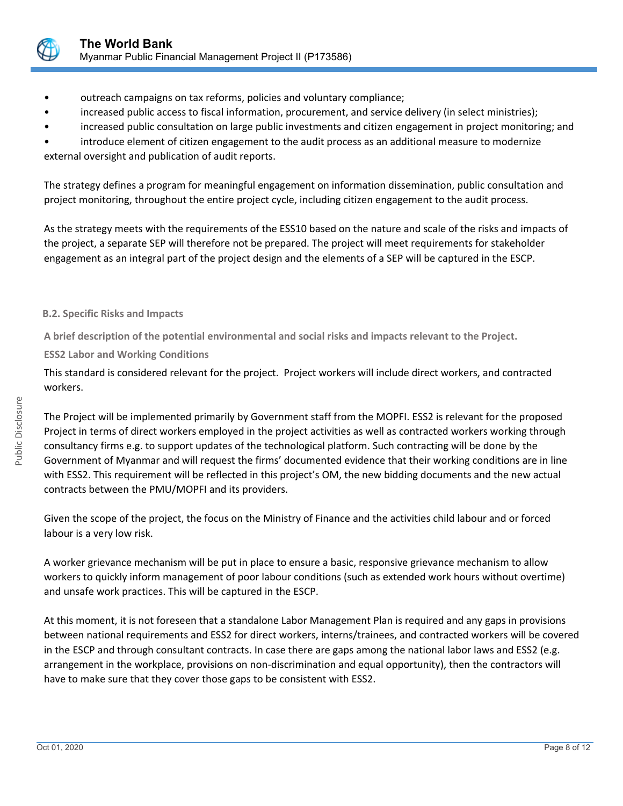

- outreach campaigns on tax reforms, policies and voluntary compliance;
- increased public access to fiscal information, procurement, and service delivery (in select ministries);
- increased public consultation on large public investments and citizen engagement in project monitoring; and

• introduce element of citizen engagement to the audit process as an additional measure to modernize external oversight and publication of audit reports.

The strategy defines a program for meaningful engagement on information dissemination, public consultation and project monitoring, throughout the entire project cycle, including citizen engagement to the audit process.

As the strategy meets with the requirements of the ESS10 based on the nature and scale of the risks and impacts of the project, a separate SEP will therefore not be prepared. The project will meet requirements for stakeholder engagement as an integral part of the project design and the elements of a SEP will be captured in the ESCP.

# **B.2. Specific Risks and Impacts**

**A brief description of the potential environmental and social risks and impacts relevant to the Project.**

**ESS2 Labor and Working Conditions**

This standard is considered relevant for the project. Project workers will include direct workers, and contracted workers.

The Project will be implemented primarily by Government staff from the MOPFI. ESS2 is relevant for the proposed Project in terms of direct workers employed in the project activities as well as contracted workers working through consultancy firms e.g. to support updates of the technological platform. Such contracting will be done by the Government of Myanmar and will request the firms' documented evidence that their working conditions are in line with ESS2. This requirement will be reflected in this project's OM, the new bidding documents and the new actual contracts between the PMU/MOPFI and its providers.

Given the scope of the project, the focus on the Ministry of Finance and the activities child labour and or forced labour is a very low risk.

A worker grievance mechanism will be put in place to ensure a basic, responsive grievance mechanism to allow workers to quickly inform management of poor labour conditions (such as extended work hours without overtime) and unsafe work practices. This will be captured in the ESCP.

At this moment, it is not foreseen that a standalone Labor Management Plan is required and any gaps in provisions between national requirements and ESS2 for direct workers, interns/trainees, and contracted workers will be covered in the ESCP and through consultant contracts. In case there are gaps among the national labor laws and ESS2 (e.g. arrangement in the workplace, provisions on non-discrimination and equal opportunity), then the contractors will have to make sure that they cover those gaps to be consistent with ESS2.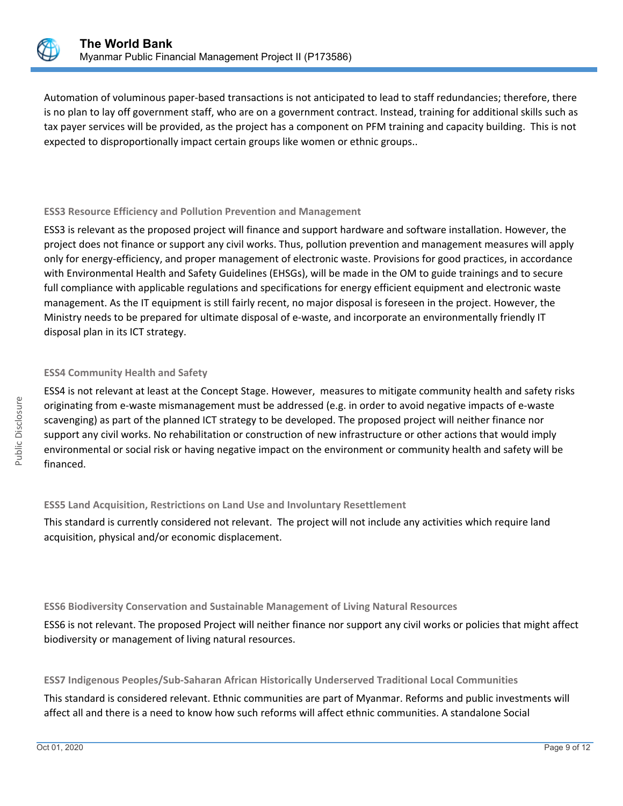

Automation of voluminous paper-based transactions is not anticipated to lead to staff redundancies; therefore, there is no plan to lay off government staff, who are on a government contract. Instead, training for additional skills such as tax payer services will be provided, as the project has a component on PFM training and capacity building. This is not expected to disproportionally impact certain groups like women or ethnic groups..

## **ESS3 Resource Efficiency and Pollution Prevention and Management**

ESS3 is relevant as the proposed project will finance and support hardware and software installation. However, the project does not finance or support any civil works. Thus, pollution prevention and management measures will apply only for energy-efficiency, and proper management of electronic waste. Provisions for good practices, in accordance with Environmental Health and Safety Guidelines (EHSGs), will be made in the OM to guide trainings and to secure full compliance with applicable regulations and specifications for energy efficient equipment and electronic waste management. As the IT equipment is still fairly recent, no major disposal is foreseen in the project. However, the Ministry needs to be prepared for ultimate disposal of e-waste, and incorporate an environmentally friendly IT disposal plan in its ICT strategy.

# **ESS4 Community Health and Safety**

ESS4 is not relevant at least at the Concept Stage. However, measures to mitigate community health and safety risks originating from e-waste mismanagement must be addressed (e.g. in order to avoid negative impacts of e-waste scavenging) as part of the planned ICT strategy to be developed. The proposed project will neither finance nor support any civil works. No rehabilitation or construction of new infrastructure or other actions that would imply environmental or social risk or having negative impact on the environment or community health and safety will be financed.

# **ESS5 Land Acquisition, Restrictions on Land Use and Involuntary Resettlement**

This standard is currently considered not relevant. The project will not include any activities which require land acquisition, physical and/or economic displacement.

# **ESS6 Biodiversity Conservation and Sustainable Management of Living Natural Resources**

ESS6 is not relevant. The proposed Project will neither finance nor support any civil works or policies that might affect biodiversity or management of living natural resources.

## **ESS7 Indigenous Peoples/Sub-Saharan African Historically Underserved Traditional Local Communities**

This standard is considered relevant. Ethnic communities are part of Myanmar. Reforms and public investments will affect all and there is a need to know how such reforms will affect ethnic communities. A standalone Social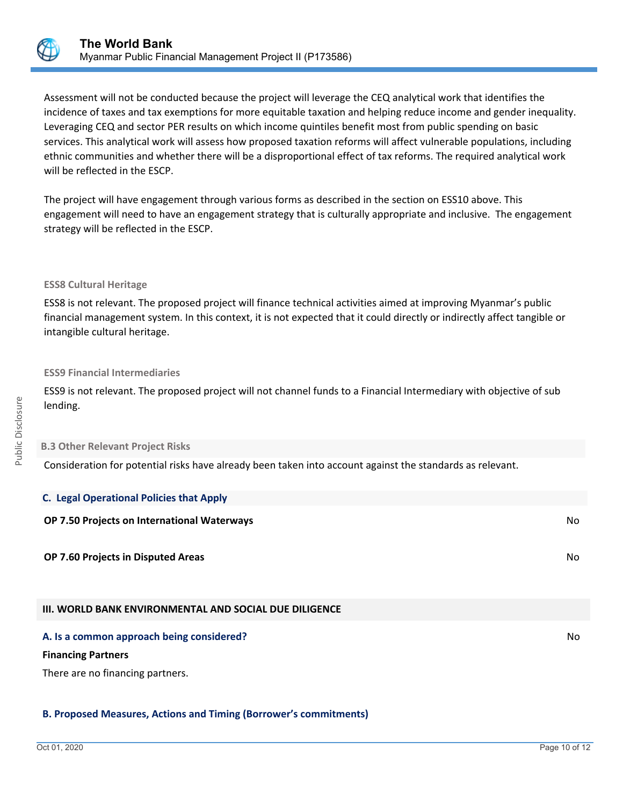

Assessment will not be conducted because the project will leverage the CEQ analytical work that identifies the incidence of taxes and tax exemptions for more equitable taxation and helping reduce income and gender inequality. Leveraging CEQ and sector PER results on which income quintiles benefit most from public spending on basic services. This analytical work will assess how proposed taxation reforms will affect vulnerable populations, including ethnic communities and whether there will be a disproportional effect of tax reforms. The required analytical work will be reflected in the ESCP.

The project will have engagement through various forms as described in the section on ESS10 above. This engagement will need to have an engagement strategy that is culturally appropriate and inclusive. The engagement strategy will be reflected in the ESCP.

#### **ESS8 Cultural Heritage**

ESS8 is not relevant. The proposed project will finance technical activities aimed at improving Myanmar's public financial management system. In this context, it is not expected that it could directly or indirectly affect tangible or intangible cultural heritage.

#### **ESS9 Financial Intermediaries**

ESS9 is not relevant. The proposed project will not channel funds to a Financial Intermediary with objective of sub lending.

#### **B.3 Other Relevant Project Risks**

Consideration for potential risks have already been taken into account against the standards as relevant.

| <b>C. Legal Operational Policies that Apply</b>               |     |
|---------------------------------------------------------------|-----|
| OP 7.50 Projects on International Waterways                   | No  |
| OP 7.60 Projects in Disputed Areas                            | No  |
| <b>III. WORLD BANK ENVIRONMENTAL AND SOCIAL DUE DILIGENCE</b> |     |
| A. Is a common approach being considered?                     | No. |

#### **Financing Partners**

There are no financing partners.

## **B. Proposed Measures, Actions and Timing (Borrower's commitments)**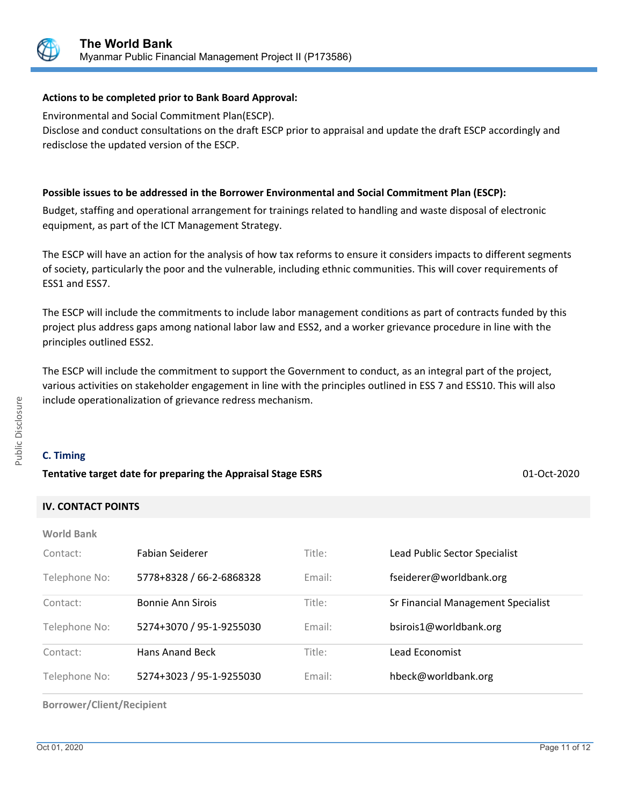

# **Actions to be completed prior to Bank Board Approval:**

Environmental and Social Commitment Plan(ESCP). Disclose and conduct consultations on the draft ESCP prior to appraisal and update the draft ESCP accordingly and redisclose the updated version of the ESCP.

# **Possible issues to be addressed in the Borrower Environmental and Social Commitment Plan (ESCP):**

Budget, staffing and operational arrangement for trainings related to handling and waste disposal of electronic equipment, as part of the ICT Management Strategy.

The ESCP will have an action for the analysis of how tax reforms to ensure it considers impacts to different segments of society, particularly the poor and the vulnerable, including ethnic communities. This will cover requirements of ESS1 and ESS7.

The ESCP will include the commitments to include labor management conditions as part of contracts funded by this project plus address gaps among national labor law and ESS2, and a worker grievance procedure in line with the principles outlined ESS2.

The ESCP will include the commitment to support the Government to conduct, as an integral part of the project, various activities on stakeholder engagement in line with the principles outlined in ESS 7 and ESS10. This will also include operationalization of grievance redress mechanism.

# **C. Timing**

## **Tentative target date for preparing the Appraisal Stage ESRS** 01-Oct-2020

# **IV. CONTACT POINTS**

| <b>World Bank</b> |  |
|-------------------|--|
|-------------------|--|

| Contact:      | Fabian Seiderer          | Title: | Lead Public Sector Specialist      |
|---------------|--------------------------|--------|------------------------------------|
| Telephone No: | 5778+8328 / 66-2-6868328 | Email: | fseiderer@worldbank.org            |
| Contact:      | <b>Bonnie Ann Sirois</b> | Title: | Sr Financial Management Specialist |
| Telephone No: | 5274+3070 / 95-1-9255030 | Email: | bsirois1@worldbank.org             |
| Contact:      | Hans Anand Beck          | Title: | Lead Economist                     |
| Telephone No: | 5274+3023 / 95-1-9255030 | Email: | hbeck@worldbank.org                |

**Borrower/Client/Recipient**